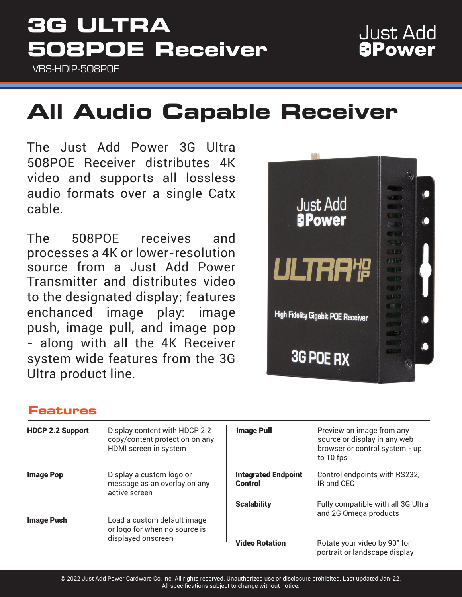## **3G ULTRA 508POE Receiver**

VBS-HDIP-508POE

### **Just Add APower**

# **All Audio Capable Receiver**

The Just Add Power 3G Ultra 508POE Receiver distributes 4K video and supports all lossless audio formats over a single Catx cable.

The 508POE receives and processes a 4K or lower-resolution source from a Just Add Power Transmitter and distributes video to the designated display; features enchanced image play: image push, image pull, and image pop - along with all the 4K Receiver system wide features from the 3G Ultra product line.



#### **Features**

| <b>HDCP 2.2 Support</b> | Display content with HDCP 2.2<br>copy/content protection on any<br>HDMI screen in system | <b>Image Pull</b>                     | Preview an image from any<br>source or display in any web<br>browser or control system - up<br>to 10 fps |
|-------------------------|------------------------------------------------------------------------------------------|---------------------------------------|----------------------------------------------------------------------------------------------------------|
| <b>Image Pop</b>        | Display a custom logo or<br>message as an overlay on any<br>active screen                | <b>Integrated Endpoint</b><br>Control | Control endpoints with RS232,<br>IR and CEC                                                              |
| <b>Image Push</b>       | Load a custom default image<br>or logo for when no source is<br>displayed onscreen       | <b>Scalability</b>                    | Fully compatible with all 3G Ultra<br>and 2G Omega products                                              |
|                         |                                                                                          | <b>Video Rotation</b>                 | Rotate your video by 90° for<br>portrait or landscape display                                            |